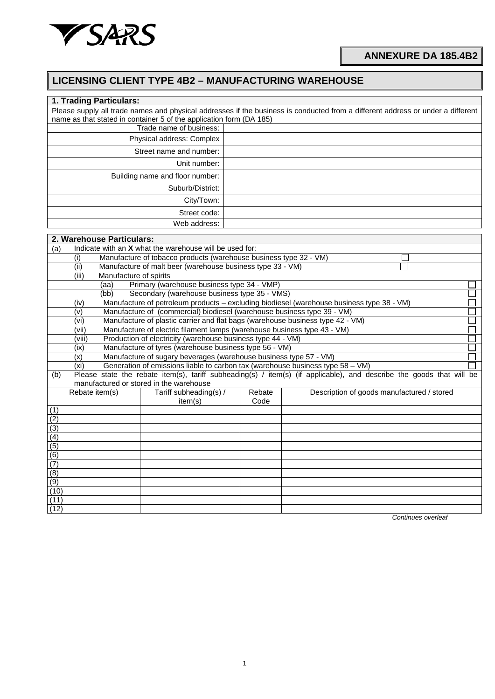

## **ANNEXURE DA 185.4B2**

## **LICENSING CLIENT TYPE 4B2 – MANUFACTURING WAREHOUSE**

| 1. Trading Particulars:                                                                |                                                                                           |        |                                                                                                                                 |  |  |  |  |  |  |
|----------------------------------------------------------------------------------------|-------------------------------------------------------------------------------------------|--------|---------------------------------------------------------------------------------------------------------------------------------|--|--|--|--|--|--|
|                                                                                        |                                                                                           |        | Please supply all trade names and physical addresses if the business is conducted from a different address or under a different |  |  |  |  |  |  |
| name as that stated in container 5 of the application form (DA 185)                    |                                                                                           |        |                                                                                                                                 |  |  |  |  |  |  |
|                                                                                        | Trade name of business:                                                                   |        |                                                                                                                                 |  |  |  |  |  |  |
|                                                                                        | Physical address: Complex                                                                 |        |                                                                                                                                 |  |  |  |  |  |  |
|                                                                                        | Street name and number:                                                                   |        |                                                                                                                                 |  |  |  |  |  |  |
|                                                                                        | Unit number:                                                                              |        |                                                                                                                                 |  |  |  |  |  |  |
|                                                                                        | Building name and floor number:                                                           |        |                                                                                                                                 |  |  |  |  |  |  |
|                                                                                        | Suburb/District:                                                                          |        |                                                                                                                                 |  |  |  |  |  |  |
|                                                                                        | City/Town:                                                                                |        |                                                                                                                                 |  |  |  |  |  |  |
|                                                                                        | Street code:                                                                              |        |                                                                                                                                 |  |  |  |  |  |  |
|                                                                                        | Web address:                                                                              |        |                                                                                                                                 |  |  |  |  |  |  |
| 2. Warehouse Particulars:                                                              |                                                                                           |        |                                                                                                                                 |  |  |  |  |  |  |
| Indicate with an X what the warehouse will be used for:<br>(a)                         |                                                                                           |        |                                                                                                                                 |  |  |  |  |  |  |
| (i)                                                                                    | Manufacture of tobacco products (warehouse business type 32 - VM)                         |        |                                                                                                                                 |  |  |  |  |  |  |
| (ii)<br>Manufacture of malt beer (warehouse business type 33 - VM)                     |                                                                                           |        |                                                                                                                                 |  |  |  |  |  |  |
| (iii)                                                                                  | Manufacture of spirits                                                                    |        |                                                                                                                                 |  |  |  |  |  |  |
| (aa)                                                                                   | Primary (warehouse business type 34 - VMP)                                                |        |                                                                                                                                 |  |  |  |  |  |  |
| (bb)                                                                                   | Secondary (warehouse business type 35 - VMS)                                              |        |                                                                                                                                 |  |  |  |  |  |  |
| (iv)                                                                                   | Manufacture of petroleum products - excluding biodiesel (warehouse business type 38 - VM) |        |                                                                                                                                 |  |  |  |  |  |  |
| (v)                                                                                    | Manufacture of (commercial) biodiesel (warehouse business type 39 - VM)                   |        |                                                                                                                                 |  |  |  |  |  |  |
| (vi)                                                                                   | Manufacture of plastic carrier and flat bags (warehouse business type 42 - VM)            |        |                                                                                                                                 |  |  |  |  |  |  |
| Manufacture of electric filament lamps (warehouse business type 43 - VM)<br>(vii)      |                                                                                           |        |                                                                                                                                 |  |  |  |  |  |  |
| Production of electricity (warehouse business type 44 - VM)<br>(viii)                  |                                                                                           |        |                                                                                                                                 |  |  |  |  |  |  |
| Manufacture of tyres (warehouse business type 56 - VM)<br>(ix)                         |                                                                                           |        |                                                                                                                                 |  |  |  |  |  |  |
| Manufacture of sugary beverages (warehouse business type 57 - VM)<br>(x)               |                                                                                           |        |                                                                                                                                 |  |  |  |  |  |  |
| Generation of emissions liable to carbon tax (warehouse business type 58 - VM)<br>(xi) |                                                                                           |        |                                                                                                                                 |  |  |  |  |  |  |
| (b)                                                                                    |                                                                                           |        | Please state the rebate item(s), tariff subheading(s) / item(s) (if applicable), and describe the goods that will be            |  |  |  |  |  |  |
| manufactured or stored in the warehouse<br>Rebate item(s)                              | Tariff subheading(s) /                                                                    | Rebate | Description of goods manufactured / stored                                                                                      |  |  |  |  |  |  |
|                                                                                        | item(s)                                                                                   | Code   |                                                                                                                                 |  |  |  |  |  |  |
| (1)                                                                                    |                                                                                           |        |                                                                                                                                 |  |  |  |  |  |  |
| (2)                                                                                    |                                                                                           |        |                                                                                                                                 |  |  |  |  |  |  |
| (3)                                                                                    |                                                                                           |        |                                                                                                                                 |  |  |  |  |  |  |
| $\overline{(4)}$                                                                       |                                                                                           |        |                                                                                                                                 |  |  |  |  |  |  |
| $\overline{(5)}$                                                                       |                                                                                           |        |                                                                                                                                 |  |  |  |  |  |  |
| $\overline{(6)}$                                                                       |                                                                                           |        |                                                                                                                                 |  |  |  |  |  |  |
| (7)                                                                                    |                                                                                           |        |                                                                                                                                 |  |  |  |  |  |  |
| $\overline{(8)}$                                                                       |                                                                                           |        |                                                                                                                                 |  |  |  |  |  |  |
| (9)                                                                                    |                                                                                           |        |                                                                                                                                 |  |  |  |  |  |  |
| (10)                                                                                   |                                                                                           |        |                                                                                                                                 |  |  |  |  |  |  |
| (11)                                                                                   |                                                                                           |        |                                                                                                                                 |  |  |  |  |  |  |
| (12)                                                                                   |                                                                                           |        |                                                                                                                                 |  |  |  |  |  |  |

*Continues overleaf*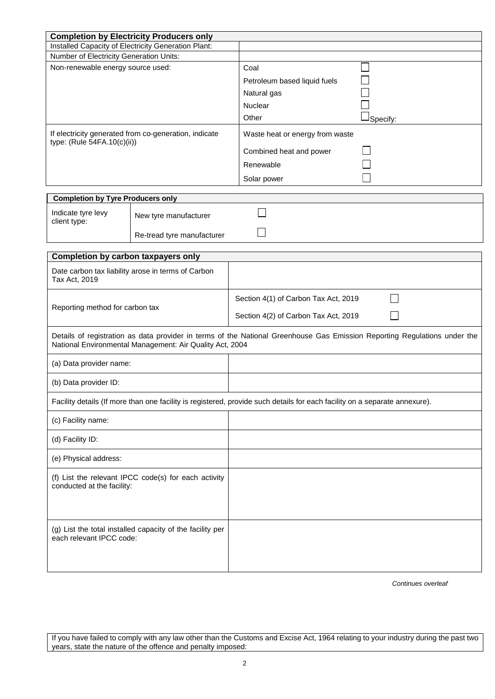|                                                                                       | <b>Completion by Electricity Producers only</b>          |                                                                                                                            |
|---------------------------------------------------------------------------------------|----------------------------------------------------------|----------------------------------------------------------------------------------------------------------------------------|
| Installed Capacity of Electricity Generation Plant:                                   |                                                          |                                                                                                                            |
| Number of Electricity Generation Units:                                               |                                                          |                                                                                                                            |
| Non-renewable energy source used:                                                     |                                                          | Coal                                                                                                                       |
|                                                                                       |                                                          | Petroleum based liquid fuels                                                                                               |
|                                                                                       |                                                          | Natural gas                                                                                                                |
|                                                                                       |                                                          | Nuclear                                                                                                                    |
|                                                                                       |                                                          | Other<br>Specify:                                                                                                          |
|                                                                                       |                                                          |                                                                                                                            |
| If electricity generated from co-generation, indicate<br>type: (Rule 54FA.10(c)(ii))  |                                                          | Waste heat or energy from waste                                                                                            |
|                                                                                       |                                                          | Combined heat and power                                                                                                    |
|                                                                                       |                                                          | Renewable                                                                                                                  |
|                                                                                       |                                                          |                                                                                                                            |
|                                                                                       |                                                          | Solar power                                                                                                                |
| <b>Completion by Tyre Producers only</b>                                              |                                                          |                                                                                                                            |
| Indicate tyre levy                                                                    |                                                          |                                                                                                                            |
| client type:                                                                          | New tyre manufacturer                                    |                                                                                                                            |
|                                                                                       | Re-tread tyre manufacturer                               |                                                                                                                            |
|                                                                                       |                                                          |                                                                                                                            |
| Completion by carbon taxpayers only                                                   |                                                          |                                                                                                                            |
| Date carbon tax liability arose in terms of Carbon                                    |                                                          |                                                                                                                            |
| Tax Act, 2019                                                                         |                                                          |                                                                                                                            |
|                                                                                       |                                                          |                                                                                                                            |
|                                                                                       |                                                          | Section 4(1) of Carbon Tax Act, 2019                                                                                       |
| Reporting method for carbon tax                                                       |                                                          | Section 4(2) of Carbon Tax Act, 2019                                                                                       |
|                                                                                       |                                                          |                                                                                                                            |
|                                                                                       |                                                          | Details of registration as data provider in terms of the National Greenhouse Gas Emission Reporting Regulations under the  |
|                                                                                       | National Environmental Management: Air Quality Act, 2004 |                                                                                                                            |
|                                                                                       |                                                          |                                                                                                                            |
| (a) Data provider name:                                                               |                                                          |                                                                                                                            |
| (b) Data provider ID:                                                                 |                                                          |                                                                                                                            |
|                                                                                       |                                                          |                                                                                                                            |
|                                                                                       |                                                          | Facility details (If more than one facility is registered, provide such details for each facility on a separate annexure). |
| (c) Facility name:                                                                    |                                                          |                                                                                                                            |
|                                                                                       |                                                          |                                                                                                                            |
| (d) Facility ID:                                                                      |                                                          |                                                                                                                            |
|                                                                                       |                                                          |                                                                                                                            |
| (e) Physical address:                                                                 |                                                          |                                                                                                                            |
| (f) List the relevant IPCC code(s) for each activity<br>conducted at the facility:    |                                                          |                                                                                                                            |
|                                                                                       |                                                          |                                                                                                                            |
|                                                                                       |                                                          |                                                                                                                            |
|                                                                                       |                                                          |                                                                                                                            |
|                                                                                       |                                                          |                                                                                                                            |
| (g) List the total installed capacity of the facility per<br>each relevant IPCC code: |                                                          |                                                                                                                            |
|                                                                                       |                                                          |                                                                                                                            |
|                                                                                       |                                                          |                                                                                                                            |
|                                                                                       |                                                          |                                                                                                                            |

*Continues overleaf*

If you have failed to comply with any law other than the Customs and Excise Act, 1964 relating to your industry during the past two years, state the nature of the offence and penalty imposed: